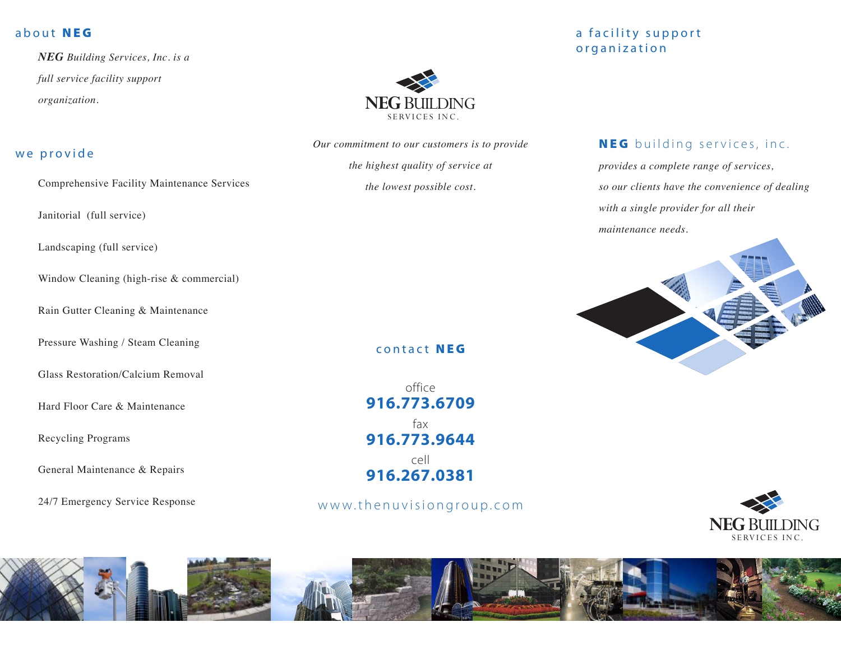## about NEG

*NEG Building Services, Inc. is a full service facility support organization.*

## we provide

Comprehensive Facility Maintenance Services

Janitorial (full service)

Landscaping (full service)

Window Cleaning (high-rise & commercial)

Rain Gutter Cleaning & Maintenance

Pressure Washing / Steam Cleaning

Glass Restoration/Calcium Removal

Hard Floor Care & Maintenance

Recycling Programs

General Maintenance & Repairs

24/7 Emergency Service Response



*Our commitment to our customers is to provide the highest quality of service at* 

*the lowest possible cost.*

### contact NEG

office **916.773.6709** fax **916.773.9644** cell **916.267.0381**

www.thenuvisiongroup.com

# a facility support or ganization

# NEG building services, inc.

*provides a complete range of services, so our clients have the convenience of dealing with a single provider for all their maintenance needs.*